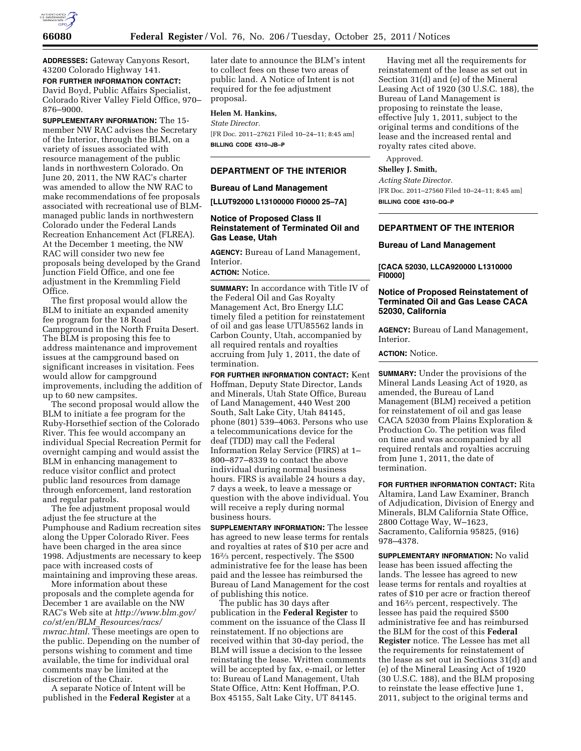

**ADDRESSES:** Gateway Canyons Resort, 43200 Colorado Highway 141.

**FOR FURTHER INFORMATION CONTACT:**  David Boyd, Public Affairs Specialist, Colorado River Valley Field Office, 970– 876–9000.

**SUPPLEMENTARY INFORMATION:** The 15 member NW RAC advises the Secretary of the Interior, through the BLM, on a variety of issues associated with resource management of the public lands in northwestern Colorado. On June 20, 2011, the NW RAC's charter was amended to allow the NW RAC to make recommendations of fee proposals associated with recreational use of BLMmanaged public lands in northwestern Colorado under the Federal Lands Recreation Enhancement Act (FLREA). At the December 1 meeting, the NW RAC will consider two new fee proposals being developed by the Grand Junction Field Office, and one fee adjustment in the Kremmling Field Office.

The first proposal would allow the BLM to initiate an expanded amenity fee program for the 18 Road Campground in the North Fruita Desert. The BLM is proposing this fee to address maintenance and improvement issues at the campground based on significant increases in visitation. Fees would allow for campground improvements, including the addition of up to 60 new campsites.

The second proposal would allow the BLM to initiate a fee program for the Ruby-Horsethief section of the Colorado River. This fee would accompany an individual Special Recreation Permit for overnight camping and would assist the BLM in enhancing management to reduce visitor conflict and protect public land resources from damage through enforcement, land restoration and regular patrols.

The fee adjustment proposal would adjust the fee structure at the Pumphouse and Radium recreation sites along the Upper Colorado River. Fees have been charged in the area since 1998. Adjustments are necessary to keep pace with increased costs of maintaining and improving these areas.

More information about these proposals and the complete agenda for December 1 are available on the NW RAC's Web site at *[http://www.blm.gov/](http://www.blm.gov/co/st/en/BLM_Resources/racs/nwrac.html) co/st/en/BLM*\_*[Resources/racs/](http://www.blm.gov/co/st/en/BLM_Resources/racs/nwrac.html)  [nwrac.html.](http://www.blm.gov/co/st/en/BLM_Resources/racs/nwrac.html)* These meetings are open to the public. Depending on the number of persons wishing to comment and time available, the time for individual oral comments may be limited at the discretion of the Chair.

A separate Notice of Intent will be published in the **Federal Register** at a later date to announce the BLM's intent to collect fees on these two areas of public land. A Notice of Intent is not required for the fee adjustment proposal.

# **Helen M. Hankins,**

**BILLING CODE 4310–JB–P** 

*State Director.*  [FR Doc. 2011–27621 Filed 10–24–11; 8:45 am]

#### **DEPARTMENT OF THE INTERIOR**

**Bureau of Land Management** 

**[LLUT92000 L13100000 FI0000 25–7A]** 

### **Notice of Proposed Class II Reinstatement of Terminated Oil and Gas Lease, Utah**

**AGENCY:** Bureau of Land Management, Interior.

**ACTION:** Notice.

**SUMMARY:** In accordance with Title IV of the Federal Oil and Gas Royalty Management Act, Bro Energy LLC timely filed a petition for reinstatement of oil and gas lease UTU85562 lands in Carbon County, Utah, accompanied by all required rentals and royalties accruing from July 1, 2011, the date of termination.

**FOR FURTHER INFORMATION CONTACT:** Kent Hoffman, Deputy State Director, Lands and Minerals, Utah State Office, Bureau of Land Management, 440 West 200 South, Salt Lake City, Utah 84145, phone (801) 539–4063. Persons who use a telecommunications device for the deaf (TDD) may call the Federal Information Relay Service (FIRS) at 1– 800–877–8339 to contact the above individual during normal business hours. FIRS is available 24 hours a day, 7 days a week, to leave a message or question with the above individual. You will receive a reply during normal business hours.

**SUPPLEMENTARY INFORMATION:** The lessee has agreed to new lease terms for rentals and royalties at rates of \$10 per acre and 162⁄3 percent, respectively. The \$500 administrative fee for the lease has been paid and the lessee has reimbursed the Bureau of Land Management for the cost of publishing this notice.

The public has 30 days after publication in the **Federal Register** to comment on the issuance of the Class II reinstatement. If no objections are received within that 30-day period, the BLM will issue a decision to the lessee reinstating the lease. Written comments will be accepted by fax, e-mail, or letter to: Bureau of Land Management, Utah State Office, Attn: Kent Hoffman, P.O. Box 45155, Salt Lake City, UT 84145.

Having met all the requirements for reinstatement of the lease as set out in Section 31(d) and (e) of the Mineral Leasing Act of 1920 (30 U.S.C. 188), the Bureau of Land Management is proposing to reinstate the lease, effective July 1, 2011, subject to the original terms and conditions of the lease and the increased rental and royalty rates cited above.

Approved.

**Shelley J. Smith,** 

*Acting State Director.*  [FR Doc. 2011–27560 Filed 10–24–11; 8:45 am] **BILLING CODE 4310–DQ–P** 

### **DEPARTMENT OF THE INTERIOR**

#### **Bureau of Land Management**

**[CACA 52030, LLCA920000 L1310000 FI0000]** 

# **Notice of Proposed Reinstatement of Terminated Oil and Gas Lease CACA 52030, California**

**AGENCY:** Bureau of Land Management, Interior.

# **ACTION:** Notice.

**SUMMARY:** Under the provisions of the Mineral Lands Leasing Act of 1920, as amended, the Bureau of Land Management (BLM) received a petition for reinstatement of oil and gas lease CACA 52030 from Plains Exploration & Production Co. The petition was filed on time and was accompanied by all required rentals and royalties accruing from June 1, 2011, the date of termination.

**FOR FURTHER INFORMATION CONTACT:** Rita Altamira, Land Law Examiner, Branch of Adjudication, Division of Energy and Minerals, BLM California State Office, 2800 Cottage Way, W–1623, Sacramento, California 95825, (916) 978–4378.

**SUPPLEMENTARY INFORMATION:** No valid lease has been issued affecting the lands. The lessee has agreed to new lease terms for rentals and royalties at rates of \$10 per acre or fraction thereof and 162⁄3 percent, respectively. The lessee has paid the required \$500 administrative fee and has reimbursed the BLM for the cost of this **Federal Register** notice. The Lessee has met all the requirements for reinstatement of the lease as set out in Sections 31(d) and (e) of the Mineral Leasing Act of 1920 (30 U.S.C. 188), and the BLM proposing to reinstate the lease effective June 1, 2011, subject to the original terms and